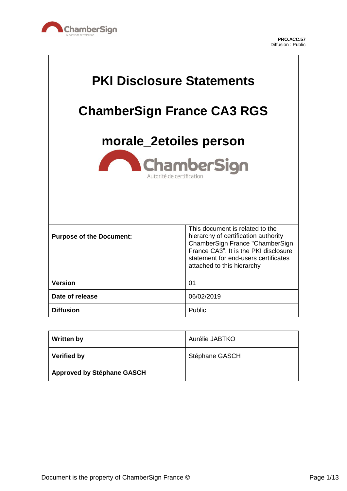

 $\overline{\mathsf{L}}$ 

| <b>PKI Disclosure Statements</b><br><b>ChamberSign France CA3 RGS</b><br>morale_2etoiles person<br><b>ChamberSign</b><br>Autorité de certification |                                                                                                                                                                                                                           |
|----------------------------------------------------------------------------------------------------------------------------------------------------|---------------------------------------------------------------------------------------------------------------------------------------------------------------------------------------------------------------------------|
| <b>Purpose of the Document:</b>                                                                                                                    | This document is related to the<br>hierarchy of certification authority<br>ChamberSign France "ChamberSign<br>France CA3". It is the PKI disclosure<br>statement for end-users certificates<br>attached to this hierarchy |
| <b>Version</b>                                                                                                                                     | 01                                                                                                                                                                                                                        |
| Date of release                                                                                                                                    | 06/02/2019                                                                                                                                                                                                                |
| <b>Diffusion</b>                                                                                                                                   | Public                                                                                                                                                                                                                    |

| <b>Written by</b>                 | Aurélie JABTKO |
|-----------------------------------|----------------|
| <b>Verified by</b>                | Stéphane GASCH |
| <b>Approved by Stéphane GASCH</b> |                |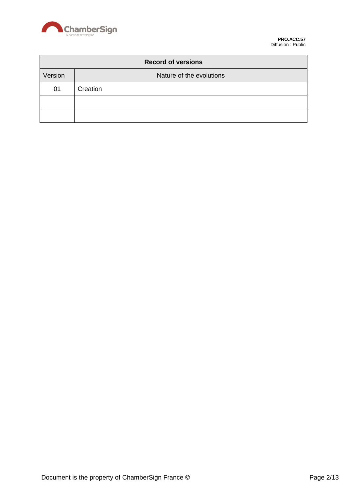

| <b>Record of versions</b> |                          |  |
|---------------------------|--------------------------|--|
| Version                   | Nature of the evolutions |  |
| 01                        | Creation                 |  |
|                           |                          |  |
|                           |                          |  |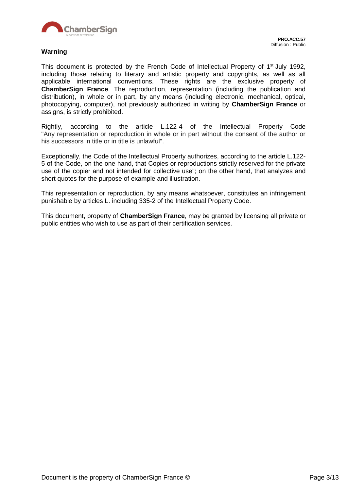

#### **Warning**

This document is protected by the French Code of Intellectual Property of 1<sup>st</sup> July 1992, including those relating to literary and artistic property and copyrights, as well as all applicable international conventions. These rights are the exclusive property of **ChamberSign France**. The reproduction, representation (including the publication and distribution), in whole or in part, by any means (including electronic, mechanical, optical, photocopying, computer), not previously authorized in writing by **ChamberSign France** or assigns, is strictly prohibited.

Rightly, according to the article L.122-4 of the Intellectual Property Code "Any representation or reproduction in whole or in part without the consent of the author or his successors in title or in title is unlawful".

Exceptionally, the Code of the Intellectual Property authorizes, according to the article L.122- 5 of the Code, on the one hand, that Copies or reproductions strictly reserved for the private use of the copier and not intended for collective use"; on the other hand, that analyzes and short quotes for the purpose of example and illustration.

This representation or reproduction, by any means whatsoever, constitutes an infringement punishable by articles L. including 335-2 of the Intellectual Property Code.

This document, property of **ChamberSign France**, may be granted by licensing all private or public entities who wish to use as part of their certification services.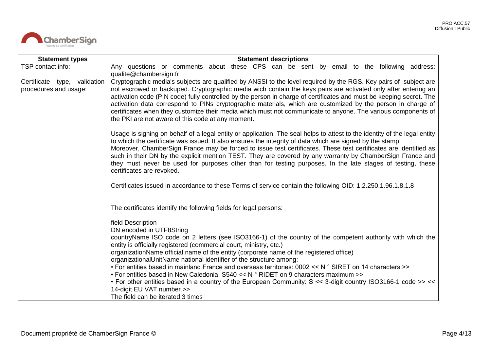

| <b>Statement types</b>                                | <b>Statement descriptions</b>                                                                                                                                                                                                                                                                                                                                                                                                                                                                                                                                                                                                                                                                                                                                                                 |  |
|-------------------------------------------------------|-----------------------------------------------------------------------------------------------------------------------------------------------------------------------------------------------------------------------------------------------------------------------------------------------------------------------------------------------------------------------------------------------------------------------------------------------------------------------------------------------------------------------------------------------------------------------------------------------------------------------------------------------------------------------------------------------------------------------------------------------------------------------------------------------|--|
| TSP contact info:                                     | Any questions or comments about these CPS can be sent by email to the following address:<br>qualite@chambersign.fr                                                                                                                                                                                                                                                                                                                                                                                                                                                                                                                                                                                                                                                                            |  |
| Certificate type, validation<br>procedures and usage: | Cryptographic media's subjects are qualified by ANSSI to the level required by the RGS. Key pairs of subject are<br>not escrowed or backuped. Cryptographic media wich contain the keys pairs are activated only after entering an<br>activation code (PIN code) fully controlled by the person in charge of certificates and must be keeping secret. The<br>activation data correspond to PINs cryptographic materials, which are customized by the person in charge of<br>certificates when they customize their media which must not communicate to anyone. The various components of<br>the PKI are not aware of this code at any moment.                                                                                                                                                 |  |
|                                                       | Usage is signing on behalf of a legal entity or application. The seal helps to attest to the identity of the legal entity<br>to which the certificate was issued. It also ensures the integrity of data which are signed by the stamp.<br>Moreover, ChamberSign France may be forced to issue test certificates. These test certificates are identified as<br>such in their DN by the explicit mention TEST. They are covered by any warranty by ChamberSign France and<br>they must never be used for purposes other than for testing purposes. In the late stages of testing, these<br>certificates are revoked.                                                                                                                                                                            |  |
|                                                       | Certificates issued in accordance to these Terms of service contain the following OID: 1.2.250.1.96.1.8.1.8                                                                                                                                                                                                                                                                                                                                                                                                                                                                                                                                                                                                                                                                                   |  |
|                                                       | The certificates identify the following fields for legal persons:                                                                                                                                                                                                                                                                                                                                                                                                                                                                                                                                                                                                                                                                                                                             |  |
|                                                       | field Description<br>DN encoded in UTF8String<br>countryName ISO code on 2 letters (see ISO3166-1) of the country of the competent authority with which the<br>entity is officially registered (commercial court, ministry, etc.)<br>organizationName official name of the entity (corporate name of the registered office)<br>organizationalUnitName national identifier of the structure among:<br>• For entities based in mainland France and overseas territories: 0002 << N ° SIRET on 14 characters >><br>• For entities based in New Caledonia: S540 << N $\degree$ RIDET on 9 characters maximum >><br>• For other entities based in a country of the European Community: S << 3-digit country ISO3166-1 code >> <<<br>14-digit EU VAT number >><br>The field can be iterated 3 times |  |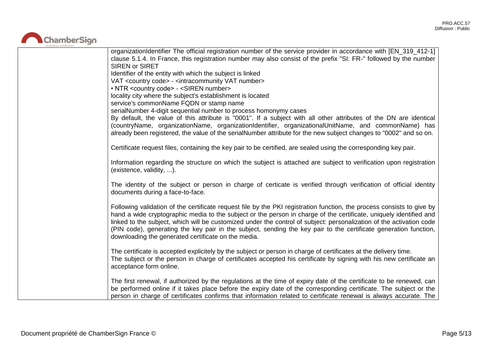

| organizationIdentifier The official registration number of the service provider in accordance with [EN_319_412-1]<br>clause 5.1.4. In France, this registration number may also consist of the prefix "SI: FR-" followed by the number<br><b>SIREN or SIRET</b>                                                                                                                                                                                                                                                                                 |
|-------------------------------------------------------------------------------------------------------------------------------------------------------------------------------------------------------------------------------------------------------------------------------------------------------------------------------------------------------------------------------------------------------------------------------------------------------------------------------------------------------------------------------------------------|
| Identifier of the entity with which the subject is linked                                                                                                                                                                                                                                                                                                                                                                                                                                                                                       |
| VAT <country code=""> - <intracommunity number="" vat=""></intracommunity></country>                                                                                                                                                                                                                                                                                                                                                                                                                                                            |
| • NTR <country code=""> - <siren number=""><br/>locality city where the subject's establishment is located</siren></country>                                                                                                                                                                                                                                                                                                                                                                                                                    |
| service's commonName FQDN or stamp name                                                                                                                                                                                                                                                                                                                                                                                                                                                                                                         |
| serialNumber 4-digit sequential number to process homonymy cases                                                                                                                                                                                                                                                                                                                                                                                                                                                                                |
| By default, the value of this attribute is "0001". If a subject with all other attributes of the DN are identical                                                                                                                                                                                                                                                                                                                                                                                                                               |
| (countryName, organizationName, organizationIdentifier, organizationalUnitName, and commonName) has<br>already been registered, the value of the serialNumber attribute for the new subject changes to "0002" and so on.                                                                                                                                                                                                                                                                                                                        |
| Certificate request files, containing the key pair to be certified, are sealed using the corresponding key pair.                                                                                                                                                                                                                                                                                                                                                                                                                                |
| Information regarding the structure on which the subject is attached are subject to verification upon registration<br>(existence, validity, ).                                                                                                                                                                                                                                                                                                                                                                                                  |
| The identity of the subject or person in charge of certicate is verified through verification of official identity<br>documents during a face-to-face.                                                                                                                                                                                                                                                                                                                                                                                          |
| Following validation of the certificate request file by the PKI registration function, the process consists to give by<br>hand a wide cryptographic media to the subject or the person in charge of the certificate, uniquely identified and<br>linked to the subject, which will be customized under the control of subject: personalization of the activation code<br>(PIN code), generating the key pair in the subject, sending the key pair to the certificate generation function,<br>downloading the generated certificate on the media. |
| The certificate is accepted explicitely by the subject or person in charge of certificates at the delivery time.<br>The subject or the person in charge of certificates accepted his certificate by signing with his new certificate an<br>acceptance form online.                                                                                                                                                                                                                                                                              |
| The first renewal, if authorized by the regulations at the time of expiry date of the certificate to be renewed, can<br>be performed online if it takes place before the expiry date of the corresponding certificate. The subject or the<br>person in charge of certificates confirms that information related to certificate renewal is always accurate. The                                                                                                                                                                                  |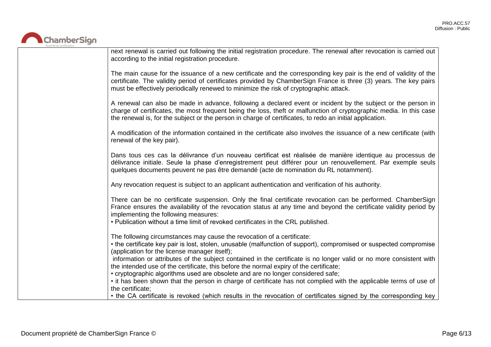

| next renewal is carried out following the initial registration procedure. The renewal after revocation is carried out<br>according to the initial registration procedure.                                                                                                                                                                                     |
|---------------------------------------------------------------------------------------------------------------------------------------------------------------------------------------------------------------------------------------------------------------------------------------------------------------------------------------------------------------|
| The main cause for the issuance of a new certificate and the corresponding key pair is the end of validity of the<br>certificate. The validity period of certificates provided by ChamberSign France is three (3) years. The key pairs<br>must be effectively periodically renewed to minimize the risk of cryptographic attack.                              |
| A renewal can also be made in advance, following a declared event or incident by the subject or the person in<br>charge of certificates, the most frequent being the loss, theft or malfunction of cryptographic media. In this case<br>the renewal is, for the subject or the person in charge of certificates, to redo an initial application.              |
| A modification of the information contained in the certificate also involves the issuance of a new certificate (with<br>renewal of the key pair).                                                                                                                                                                                                             |
| Dans tous ces cas la délivrance d'un nouveau certificat est réalisée de manière identique au processus de<br>délivrance initiale. Seule la phase d'enregistrement peut différer pour un renouvellement. Par exemple seuls<br>quelques documents peuvent ne pas être demandé (acte de nomination du RL notamment).                                             |
| Any revocation request is subject to an applicant authentication and verification of his authority.                                                                                                                                                                                                                                                           |
| There can be no certificate suspension. Only the final certificate revocation can be performed. ChamberSign<br>France ensures the availability of the revocation status at any time and beyond the certificate validity period by<br>implementing the following measures:<br>. Publication without a time limit of revoked certificates in the CRL published. |
| The following circumstances may cause the revocation of a certificate:                                                                                                                                                                                                                                                                                        |
| • the certificate key pair is lost, stolen, unusable (malfunction of support), compromised or suspected compromise<br>(application for the license manager itself);                                                                                                                                                                                           |
| information or attributes of the subject contained in the certificate is no longer valid or no more consistent with<br>the intended use of the certificate, this before the normal expiry of the certificate;                                                                                                                                                 |
| • cryptographic algorithms used are obsolete and are no longer considered safe;                                                                                                                                                                                                                                                                               |
| • it has been shown that the person in charge of certificate has not complied with the applicable terms of use of<br>the certificate;                                                                                                                                                                                                                         |
| • the CA certificate is revoked (which results in the revocation of certificates signed by the corresponding key                                                                                                                                                                                                                                              |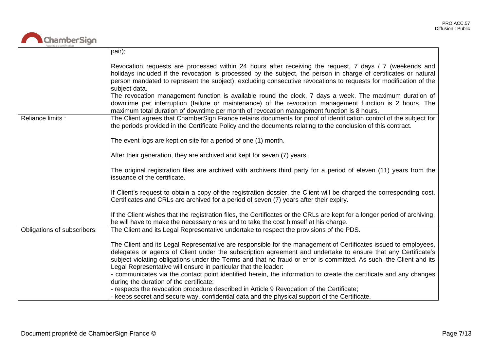

|                             | pair);                                                                                                                                                                                                                                                                                                                                                                                                                                                                                                                                                                                                                                                                                |
|-----------------------------|---------------------------------------------------------------------------------------------------------------------------------------------------------------------------------------------------------------------------------------------------------------------------------------------------------------------------------------------------------------------------------------------------------------------------------------------------------------------------------------------------------------------------------------------------------------------------------------------------------------------------------------------------------------------------------------|
|                             | Revocation requests are processed within 24 hours after receiving the request, 7 days / 7 (weekends and<br>holidays included if the revocation is processed by the subject, the person in charge of certificates or natural<br>person mandated to represent the subject), excluding consecutive revocations to requests for modification of the<br>subject data.<br>The revocation management function is available round the clock, 7 days a week. The maximum duration of<br>downtime per interruption (failure or maintenance) of the revocation management function is 2 hours. The<br>maximum total duration of downtime per month of revocation management function is 8 hours. |
| Reliance limits :           | The Client agrees that ChamberSign France retains documents for proof of identification control of the subject for<br>the periods provided in the Certificate Policy and the documents relating to the conclusion of this contract.                                                                                                                                                                                                                                                                                                                                                                                                                                                   |
|                             | The event logs are kept on site for a period of one (1) month.                                                                                                                                                                                                                                                                                                                                                                                                                                                                                                                                                                                                                        |
|                             | After their generation, they are archived and kept for seven (7) years.                                                                                                                                                                                                                                                                                                                                                                                                                                                                                                                                                                                                               |
|                             | The original registration files are archived with archivers third party for a period of eleven (11) years from the<br>issuance of the certificate.                                                                                                                                                                                                                                                                                                                                                                                                                                                                                                                                    |
|                             | If Client's request to obtain a copy of the registration dossier, the Client will be charged the corresponding cost.<br>Certificates and CRLs are archived for a period of seven (7) years after their expiry.                                                                                                                                                                                                                                                                                                                                                                                                                                                                        |
|                             | If the Client wishes that the registration files, the Certificates or the CRLs are kept for a longer period of archiving,<br>he will have to make the necessary ones and to take the cost himself at his charge.                                                                                                                                                                                                                                                                                                                                                                                                                                                                      |
| Obligations of subscribers: | The Client and its Legal Representative undertake to respect the provisions of the PDS.                                                                                                                                                                                                                                                                                                                                                                                                                                                                                                                                                                                               |
|                             | The Client and its Legal Representative are responsible for the management of Certificates issued to employees,<br>delegates or agents of Client under the subscription agreement and undertake to ensure that any Certificate's<br>subject violating obligations under the Terms and that no fraud or error is committed. As such, the Client and its<br>Legal Representative will ensure in particular that the leader:<br>- communicates via the contact point identified herein, the information to create the certificate and any changes<br>during the duration of the certificate;                                                                                             |
|                             | - respects the revocation procedure described in Article 9 Revocation of the Certificate;<br>- keeps secret and secure way, confidential data and the physical support of the Certificate.                                                                                                                                                                                                                                                                                                                                                                                                                                                                                            |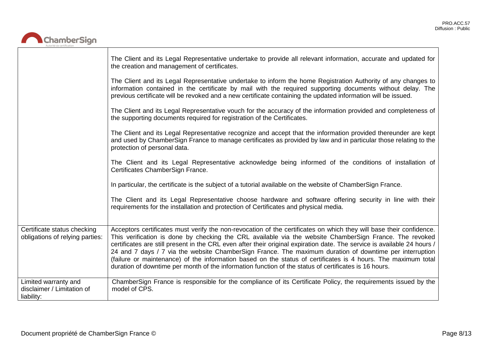┑



|                                                                  | The Client and its Legal Representative undertake to provide all relevant information, accurate and updated for<br>the creation and management of certificates.                                                                                                                                                                                                                                                                                                                                                                                                                                                                                                                                 |
|------------------------------------------------------------------|-------------------------------------------------------------------------------------------------------------------------------------------------------------------------------------------------------------------------------------------------------------------------------------------------------------------------------------------------------------------------------------------------------------------------------------------------------------------------------------------------------------------------------------------------------------------------------------------------------------------------------------------------------------------------------------------------|
|                                                                  | The Client and its Legal Representative undertake to inform the home Registration Authority of any changes to<br>information contained in the certificate by mail with the required supporting documents without delay. The<br>previous certificate will be revoked and a new certificate containing the updated information will be issued.                                                                                                                                                                                                                                                                                                                                                    |
|                                                                  | The Client and its Legal Representative vouch for the accuracy of the information provided and completeness of<br>the supporting documents required for registration of the Certificates.                                                                                                                                                                                                                                                                                                                                                                                                                                                                                                       |
|                                                                  | The Client and its Legal Representative recognize and accept that the information provided thereunder are kept<br>and used by ChamberSign France to manage certificates as provided by law and in particular those relating to the<br>protection of personal data.                                                                                                                                                                                                                                                                                                                                                                                                                              |
|                                                                  | The Client and its Legal Representative acknowledge being informed of the conditions of installation of<br>Certificates ChamberSign France.                                                                                                                                                                                                                                                                                                                                                                                                                                                                                                                                                     |
|                                                                  | In particular, the certificate is the subject of a tutorial available on the website of ChamberSign France.                                                                                                                                                                                                                                                                                                                                                                                                                                                                                                                                                                                     |
|                                                                  | The Client and its Legal Representative choose hardware and software offering security in line with their<br>requirements for the installation and protection of Certificates and physical media.                                                                                                                                                                                                                                                                                                                                                                                                                                                                                               |
| Certificate status checking<br>obligations of relying parties:   | Acceptors certificates must verify the non-revocation of the certificates on which they will base their confidence.<br>This verification is done by checking the CRL available via the website ChamberSign France. The revoked<br>certificates are still present in the CRL even after their original expiration date. The service is available 24 hours /<br>24 and 7 days / 7 via the website ChamberSign France. The maximum duration of downtime per interruption<br>(failure or maintenance) of the information based on the status of certificates is 4 hours. The maximum total<br>duration of downtime per month of the information function of the status of certificates is 16 hours. |
| Limited warranty and<br>disclaimer / Limitation of<br>liability: | ChamberSign France is responsible for the compliance of its Certificate Policy, the requirements issued by the<br>model of CPS.                                                                                                                                                                                                                                                                                                                                                                                                                                                                                                                                                                 |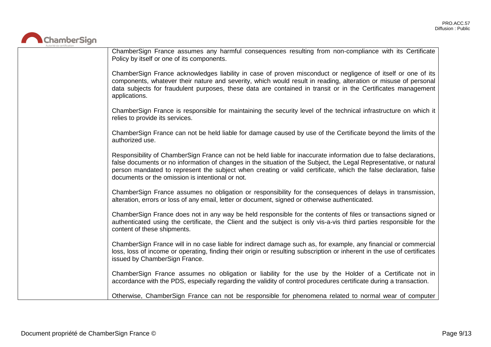

| ChamberSign France assumes any harmful consequences resulting from non-compliance with its Certificate<br>Policy by itself or one of its components.                                                                                                                                                                                                                                                           |
|----------------------------------------------------------------------------------------------------------------------------------------------------------------------------------------------------------------------------------------------------------------------------------------------------------------------------------------------------------------------------------------------------------------|
| ChamberSign France acknowledges liability in case of proven misconduct or negligence of itself or one of its<br>components, whatever their nature and severity, which would result in reading, alteration or misuse of personal<br>data subjects for fraudulent purposes, these data are contained in transit or in the Certificates management<br>applications.                                               |
| ChamberSign France is responsible for maintaining the security level of the technical infrastructure on which it<br>relies to provide its services.                                                                                                                                                                                                                                                            |
| ChamberSign France can not be held liable for damage caused by use of the Certificate beyond the limits of the<br>authorized use.                                                                                                                                                                                                                                                                              |
| Responsibility of ChamberSign France can not be held liable for inaccurate information due to false declarations,<br>false documents or no information of changes in the situation of the Subject, the Legal Representative, or natural<br>person mandated to represent the subject when creating or valid certificate, which the false declaration, false<br>documents or the omission is intentional or not. |
| ChamberSign France assumes no obligation or responsibility for the consequences of delays in transmission,<br>alteration, errors or loss of any email, letter or document, signed or otherwise authenticated.                                                                                                                                                                                                  |
| ChamberSign France does not in any way be held responsible for the contents of files or transactions signed or<br>authenticated using the certificate, the Client and the subject is only vis-a-vis third parties responsible for the<br>content of these shipments.                                                                                                                                           |
| ChamberSign France will in no case liable for indirect damage such as, for example, any financial or commercial<br>loss, loss of income or operating, finding their origin or resulting subscription or inherent in the use of certificates<br>issued by ChamberSign France.                                                                                                                                   |
| ChamberSign France assumes no obligation or liability for the use by the Holder of a Certificate not in<br>accordance with the PDS, especially regarding the validity of control procedures certificate during a transaction.                                                                                                                                                                                  |
| Otherwise, ChamberSign France can not be responsible for phenomena related to normal wear of computer                                                                                                                                                                                                                                                                                                          |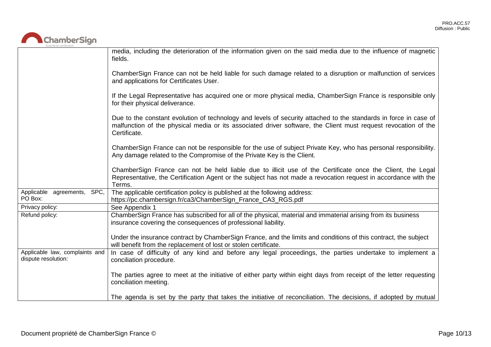

|                                                       | media, including the deterioration of the information given on the said media due to the influence of magnetic<br>fields.                                                                                                                          |
|-------------------------------------------------------|----------------------------------------------------------------------------------------------------------------------------------------------------------------------------------------------------------------------------------------------------|
|                                                       | ChamberSign France can not be held liable for such damage related to a disruption or malfunction of services<br>and applications for Certificates User.                                                                                            |
|                                                       | If the Legal Representative has acquired one or more physical media, ChamberSign France is responsible only<br>for their physical deliverance.                                                                                                     |
|                                                       | Due to the constant evolution of technology and levels of security attached to the standards in force in case of<br>malfunction of the physical media or its associated driver software, the Client must request revocation of the<br>Certificate. |
|                                                       | ChamberSign France can not be responsible for the use of subject Private Key, who has personal responsibility.<br>Any damage related to the Compromise of the Private Key is the Client.                                                           |
|                                                       | ChamberSign France can not be held liable due to illicit use of the Certificate once the Client, the Legal<br>Representative, the Certification Agent or the subject has not made a revocation request in accordance with the<br>Terms.            |
| Applicable agreements, SPC,<br>PO Box:                | The applicable certification policy is published at the following address:<br>https://pc.chambersign.fr/ca3/ChamberSign_France_CA3_RGS.pdf                                                                                                         |
| Privacy policy:                                       | See Appendix 1                                                                                                                                                                                                                                     |
| Refund policy:                                        | ChamberSign France has subscribed for all of the physical, material and immaterial arising from its business<br>insurance covering the consequences of professional liability.                                                                     |
|                                                       | Under the insurance contract by ChamberSign France, and the limits and conditions of this contract, the subject<br>will benefit from the replacement of lost or stolen certificate.                                                                |
| Applicable law, complaints and<br>dispute resolution: | In case of difficulty of any kind and before any legal proceedings, the parties undertake to implement a<br>conciliation procedure.                                                                                                                |
|                                                       | The parties agree to meet at the initiative of either party within eight days from receipt of the letter requesting<br>conciliation meeting.                                                                                                       |
|                                                       | The agenda is set by the party that takes the initiative of reconciliation. The decisions, if adopted by mutual                                                                                                                                    |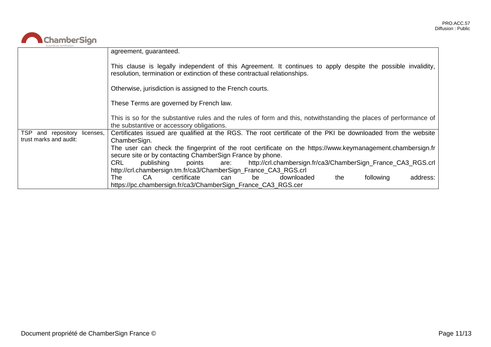

| Autorité de certification    |                                                                                                                                                                                           |
|------------------------------|-------------------------------------------------------------------------------------------------------------------------------------------------------------------------------------------|
|                              | agreement, guaranteed.                                                                                                                                                                    |
|                              | This clause is legally independent of this Agreement. It continues to apply despite the possible invalidity,<br>resolution, termination or extinction of these contractual relationships. |
|                              | Otherwise, jurisdiction is assigned to the French courts.                                                                                                                                 |
|                              | These Terms are governed by French law.                                                                                                                                                   |
|                              | This is so for the substantive rules and the rules of form and this, notwithstanding the places of performance of<br>the substantive or accessory obligations.                            |
| TSP and repository licenses, | Certificates issued are qualified at the RGS. The root certificate of the PKI be downloaded from the website                                                                              |
| trust marks and audit:       | ChamberSign.                                                                                                                                                                              |
|                              | The user can check the fingerprint of the root certificate on the https://www.keymanagement.chambersign.fr                                                                                |
|                              | secure site or by contacting ChamberSign France by phone.                                                                                                                                 |
|                              | CRL<br>http://crl.chambersign.fr/ca3/ChamberSign_France_CA3_RGS.crl<br>publishing<br>points<br>are:                                                                                       |
|                              | http://crl.chambersign.tm.fr/ca3/ChamberSign_France_CA3_RGS.crl                                                                                                                           |
|                              | CA<br>certificate<br>downloaded<br>following<br>address:<br>The<br>the<br>be<br>can                                                                                                       |
|                              | https://pc.chambersign.fr/ca3/ChamberSign_France_CA3_RGS.cer                                                                                                                              |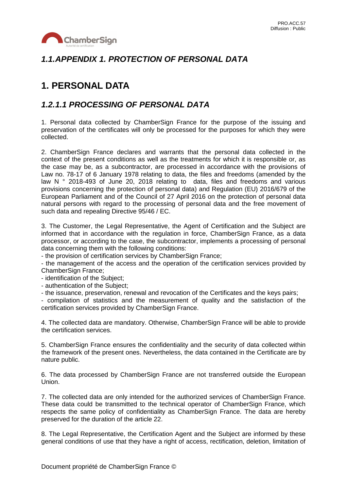

## *1.1.APPENDIX 1. PROTECTION OF PERSONAL DATA*

# **1. PERSONAL DATA**

### *1.2.1.1 PROCESSING OF PERSONAL DATA*

1. Personal data collected by ChamberSign France for the purpose of the issuing and preservation of the certificates will only be processed for the purposes for which they were collected.

2. ChamberSign France declares and warrants that the personal data collected in the context of the present conditions as well as the treatments for which it is responsible or, as the case may be, as a subcontractor, are processed in accordance with the provisions of Law no. 78-17 of 6 January 1978 relating to data, the files and freedoms (amended by the law N ° 2018-493 of June 20, 2018 relating to data, files and freedoms and various provisions concerning the protection of personal data) and Regulation (EU) 2016/679 of the European Parliament and of the Council of 27 April 2016 on the protection of personal data natural persons with regard to the processing of personal data and the free movement of such data and repealing Directive 95/46 / EC.

3. The Customer, the Legal Representative, the Agent of Certification and the Subject are informed that in accordance with the regulation in force, ChamberSign France, as a data processor, or according to the case, the subcontractor, implements a processing of personal data concerning them with the following conditions:

- the provision of certification services by ChamberSign France;

- the management of the access and the operation of the certification services provided by ChamberSign France;

- identification of the Subject;

- authentication of the Subject;

- the issuance, preservation, renewal and revocation of the Certificates and the keys pairs;

- compilation of statistics and the measurement of quality and the satisfaction of the certification services provided by ChamberSign France.

4. The collected data are mandatory. Otherwise, ChamberSign France will be able to provide the certification services.

5. ChamberSign France ensures the confidentiality and the security of data collected within the framework of the present ones. Nevertheless, the data contained in the Certificate are by nature public.

6. The data processed by ChamberSign France are not transferred outside the European Union.

7. The collected data are only intended for the authorized services of ChamberSign France. These data could be transmitted to the technical operator of ChamberSign France, which respects the same policy of confidentiality as ChamberSign France. The data are hereby preserved for the duration of the article 22.

8. The Legal Representative, the Certification Agent and the Subject are informed by these general conditions of use that they have a right of access, rectification, deletion, limitation of